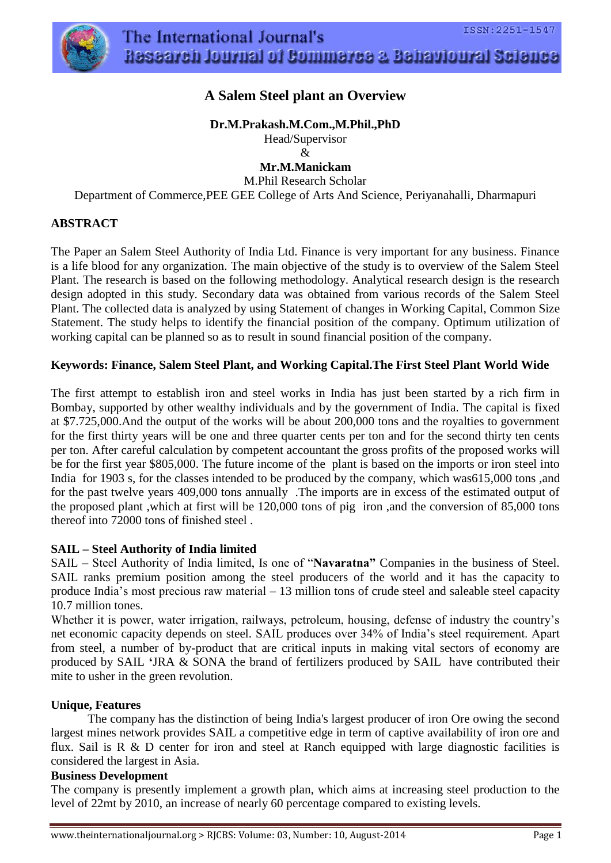



# **A Salem Steel plant an Overview**

**Dr.M.Prakash.M.Com.,M.Phil.,PhD**

Head/Supervisor &

**Mr.M.Manickam** M.Phil Research Scholar Department of Commerce,PEE GEE College of Arts And Science, Periyanahalli, Dharmapuri

## **ABSTRACT**

The Paper an Salem Steel Authority of India Ltd. Finance is very important for any business. Finance is a life blood for any organization. The main objective of the study is to overview of the Salem Steel Plant. The research is based on the following methodology. Analytical research design is the research design adopted in this study. Secondary data was obtained from various records of the Salem Steel Plant. The collected data is analyzed by using Statement of changes in Working Capital, Common Size Statement. The study helps to identify the financial position of the company. Optimum utilization of working capital can be planned so as to result in sound financial position of the company.

### **Keywords: Finance, Salem Steel Plant, and Working Capital.The First Steel Plant World Wide**

The first attempt to establish iron and steel works in India has just been started by a rich firm in Bombay, supported by other wealthy individuals and by the government of India. The capital is fixed at \$7.725,000.And the output of the works will be about 200,000 tons and the royalties to government for the first thirty years will be one and three quarter cents per ton and for the second thirty ten cents per ton. After careful calculation by competent accountant the gross profits of the proposed works will be for the first year \$805,000. The future income of the plant is based on the imports or iron steel into India for 1903 s, for the classes intended to be produced by the company, which was615,000 tons ,and for the past twelve years 409,000 tons annually .The imports are in excess of the estimated output of the proposed plant ,which at first will be 120,000 tons of pig iron ,and the conversion of 85,000 tons thereof into 72000 tons of finished steel .

### **SAIL – Steel Authority of India limited**

SAIL – Steel Authority of India limited, Is one of "**Navaratna"** Companies in the business of Steel. SAIL ranks premium position among the steel producers of the world and it has the capacity to produce India's most precious raw material – 13 million tons of crude steel and saleable steel capacity 10.7 million tones.

Whether it is power, water irrigation, railways, petroleum, housing, defense of industry the country's net economic capacity depends on steel. SAIL produces over 34% of India's steel requirement. Apart from steel, a number of by-product that are critical inputs in making vital sectors of economy are produced by SAIL **'**JRA & SONA the brand of fertilizers produced by SAIL have contributed their mite to usher in the green revolution.

### **Unique, Features**

The company has the distinction of being India's largest producer of iron Ore owing the second largest mines network provides SAIL a competitive edge in term of captive availability of iron ore and flux. Sail is  $R \& D$  center for iron and steel at Ranch equipped with large diagnostic facilities is considered the largest in Asia.

### **Business Development**

The company is presently implement a growth plan, which aims at increasing steel production to the level of 22mt by 2010, an increase of nearly 60 percentage compared to existing levels.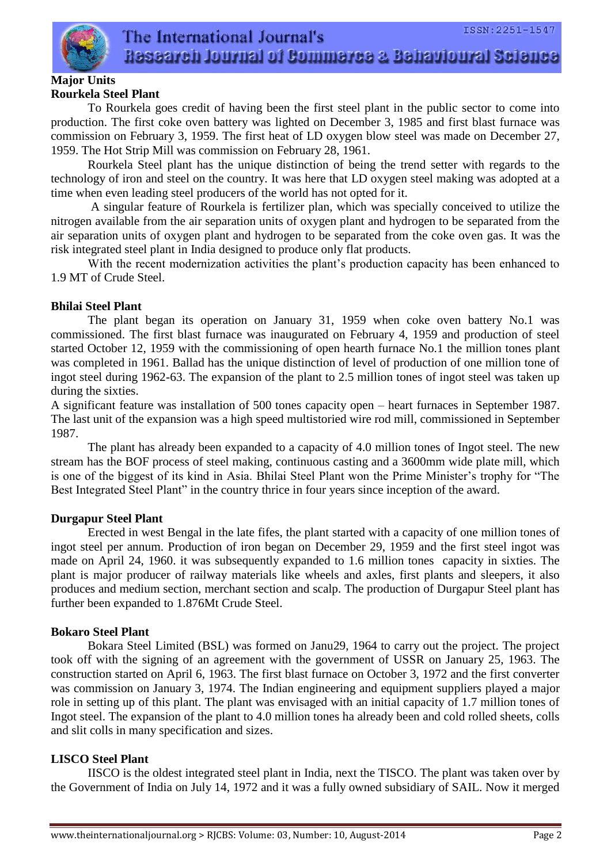

#### **Major Units Rourkela Steel Plant**

To Rourkela goes credit of having been the first steel plant in the public sector to come into production. The first coke oven battery was lighted on December 3, 1985 and first blast furnace was commission on February 3, 1959. The first heat of LD oxygen blow steel was made on December 27, 1959. The Hot Strip Mill was commission on February 28, 1961.

Rourkela Steel plant has the unique distinction of being the trend setter with regards to the technology of iron and steel on the country. It was here that LD oxygen steel making was adopted at a time when even leading steel producers of the world has not opted for it.

A singular feature of Rourkela is fertilizer plan, which was specially conceived to utilize the nitrogen available from the air separation units of oxygen plant and hydrogen to be separated from the air separation units of oxygen plant and hydrogen to be separated from the coke oven gas. It was the risk integrated steel plant in India designed to produce only flat products.

With the recent modernization activities the plant's production capacity has been enhanced to 1.9 MT of Crude Steel.

### **Bhilai Steel Plant**

The plant began its operation on January 31, 1959 when coke oven battery No.1 was commissioned. The first blast furnace was inaugurated on February 4, 1959 and production of steel started October 12, 1959 with the commissioning of open hearth furnace No.1 the million tones plant was completed in 1961. Ballad has the unique distinction of level of production of one million tone of ingot steel during 1962-63. The expansion of the plant to 2.5 million tones of ingot steel was taken up during the sixties.

A significant feature was installation of 500 tones capacity open – heart furnaces in September 1987. The last unit of the expansion was a high speed multistoried wire rod mill, commissioned in September 1987.

The plant has already been expanded to a capacity of 4.0 million tones of Ingot steel. The new stream has the BOF process of steel making, continuous casting and a 3600mm wide plate mill, which is one of the biggest of its kind in Asia. Bhilai Steel Plant won the Prime Minister's trophy for "The Best Integrated Steel Plant" in the country thrice in four years since inception of the award.

### **Durgapur Steel Plant**

Erected in west Bengal in the late fifes, the plant started with a capacity of one million tones of ingot steel per annum. Production of iron began on December 29, 1959 and the first steel ingot was made on April 24, 1960. it was subsequently expanded to 1.6 million tones capacity in sixties. The plant is major producer of railway materials like wheels and axles, first plants and sleepers, it also produces and medium section, merchant section and scalp. The production of Durgapur Steel plant has further been expanded to 1.876Mt Crude Steel.

### **Bokaro Steel Plant**

Bokara Steel Limited (BSL) was formed on Janu29, 1964 to carry out the project. The project took off with the signing of an agreement with the government of USSR on January 25, 1963. The construction started on April 6, 1963. The first blast furnace on October 3, 1972 and the first converter was commission on January 3, 1974. The Indian engineering and equipment suppliers played a major role in setting up of this plant. The plant was envisaged with an initial capacity of 1.7 million tones of Ingot steel. The expansion of the plant to 4.0 million tones ha already been and cold rolled sheets, colls and slit colls in many specification and sizes.

#### **LISCO Steel Plant**

IISCO is the oldest integrated steel plant in India, next the TISCO. The plant was taken over by the Government of India on July 14, 1972 and it was a fully owned subsidiary of SAIL. Now it merged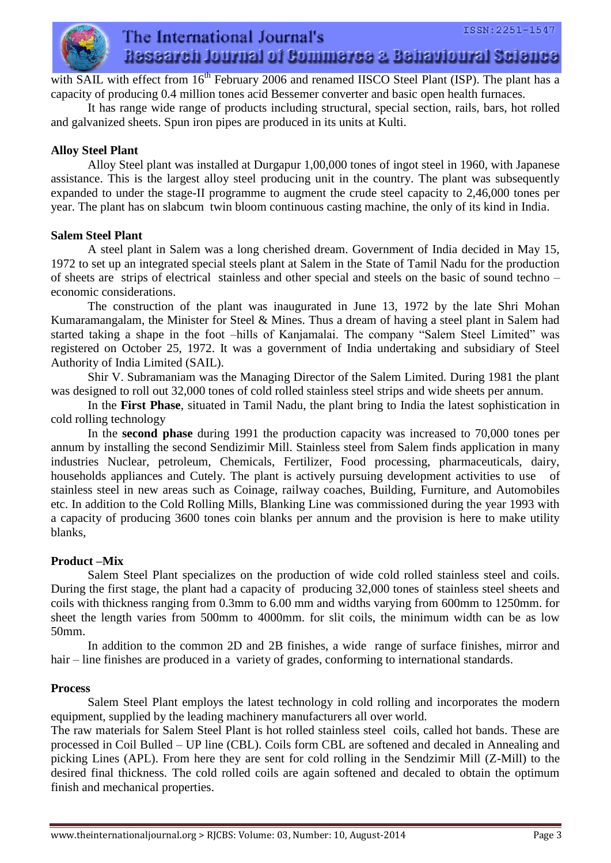

with SAIL with effect from 16<sup>th</sup> February 2006 and renamed IISCO Steel Plant (ISP). The plant has a capacity of producing 0.4 million tones acid Bessemer converter and basic open health furnaces.

It has range wide range of products including structural, special section, rails, bars, hot rolled and galvanized sheets. Spun iron pipes are produced in its units at Kulti.

#### **Alloy Steel Plant**

Alloy Steel plant was installed at Durgapur 1,00,000 tones of ingot steel in 1960, with Japanese assistance. This is the largest alloy steel producing unit in the country. The plant was subsequently expanded to under the stage-II programme to augment the crude steel capacity to 2,46,000 tones per year. The plant has on slabcum twin bloom continuous casting machine, the only of its kind in India.

#### **Salem Steel Plant**

A steel plant in Salem was a long cherished dream. Government of India decided in May 15, 1972 to set up an integrated special steels plant at Salem in the State of Tamil Nadu for the production of sheets are strips of electrical stainless and other special and steels on the basic of sound techno – economic considerations.

The construction of the plant was inaugurated in June 13, 1972 by the late Shri Mohan Kumaramangalam, the Minister for Steel  $\&$  Mines. Thus a dream of having a steel plant in Salem had started taking a shape in the foot –hills of Kanjamalai. The company "Salem Steel Limited" was registered on October 25, 1972. It was a government of India undertaking and subsidiary of Steel Authority of India Limited (SAIL).

Shir V. Subramaniam was the Managing Director of the Salem Limited. During 1981 the plant was designed to roll out 32,000 tones of cold rolled stainless steel strips and wide sheets per annum.

In the **First Phase**, situated in Tamil Nadu, the plant bring to India the latest sophistication in cold rolling technology

In the **second phase** during 1991 the production capacity was increased to 70,000 tones per annum by installing the second Sendizimir Mill. Stainless steel from Salem finds application in many industries Nuclear, petroleum, Chemicals, Fertilizer, Food processing, pharmaceuticals, dairy, households appliances and Cutely. The plant is actively pursuing development activities to use of stainless steel in new areas such as Coinage, railway coaches, Building, Furniture, and Automobiles etc. In addition to the Cold Rolling Mills, Blanking Line was commissioned during the year 1993 with a capacity of producing 3600 tones coin blanks per annum and the provision is here to make utility blanks,

### **Product –Mix**

Salem Steel Plant specializes on the production of wide cold rolled stainless steel and coils. During the first stage, the plant had a capacity of producing 32,000 tones of stainless steel sheets and coils with thickness ranging from 0.3mm to 6.00 mm and widths varying from 600mm to 1250mm. for sheet the length varies from 500mm to 4000mm. for slit coils, the minimum width can be as low 50mm.

In addition to the common 2D and 2B finishes, a wide range of surface finishes, mirror and hair – line finishes are produced in a variety of grades, conforming to international standards.

#### **Process**

Salem Steel Plant employs the latest technology in cold rolling and incorporates the modern equipment, supplied by the leading machinery manufacturers all over world.

The raw materials for Salem Steel Plant is hot rolled stainless steel coils, called hot bands. These are processed in Coil Bulled – UP line (CBL). Coils form CBL are softened and decaled in Annealing and picking Lines (APL). From here they are sent for cold rolling in the Sendzimir Mill (Z-Mill) to the desired final thickness. The cold rolled coils are again softened and decaled to obtain the optimum finish and mechanical properties.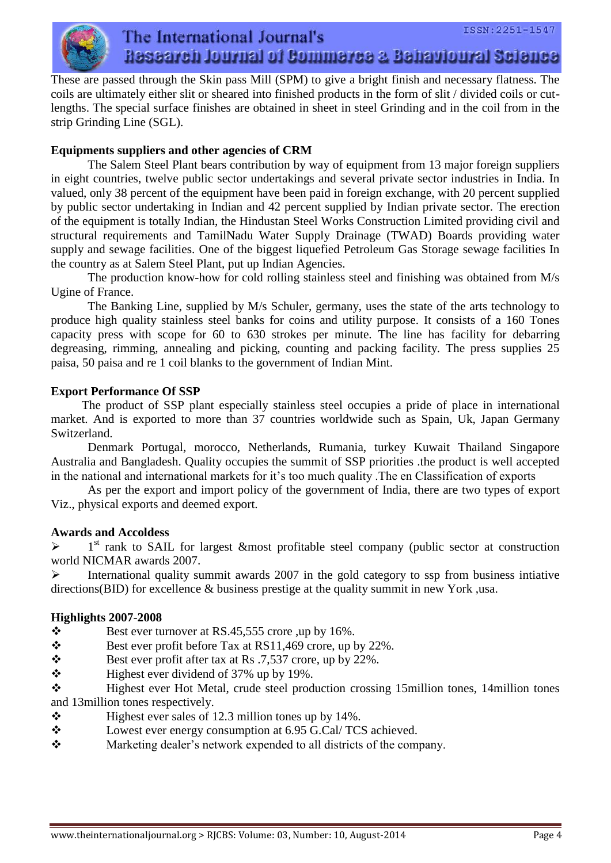

These are passed through the Skin pass Mill (SPM) to give a bright finish and necessary flatness. The coils are ultimately either slit or sheared into finished products in the form of slit / divided coils or cutlengths. The special surface finishes are obtained in sheet in steel Grinding and in the coil from in the strip Grinding Line (SGL).

### **Equipments suppliers and other agencies of CRM**

The Salem Steel Plant bears contribution by way of equipment from 13 major foreign suppliers in eight countries, twelve public sector undertakings and several private sector industries in India. In valued, only 38 percent of the equipment have been paid in foreign exchange, with 20 percent supplied by public sector undertaking in Indian and 42 percent supplied by Indian private sector. The erection of the equipment is totally Indian, the Hindustan Steel Works Construction Limited providing civil and structural requirements and TamilNadu Water Supply Drainage (TWAD) Boards providing water supply and sewage facilities. One of the biggest liquefied Petroleum Gas Storage sewage facilities In the country as at Salem Steel Plant, put up Indian Agencies.

The production know-how for cold rolling stainless steel and finishing was obtained from M/s Ugine of France.

The Banking Line, supplied by M/s Schuler, germany, uses the state of the arts technology to produce high quality stainless steel banks for coins and utility purpose. It consists of a 160 Tones capacity press with scope for 60 to 630 strokes per minute. The line has facility for debarring degreasing, rimming, annealing and picking, counting and packing facility. The press supplies 25 paisa, 50 paisa and re 1 coil blanks to the government of Indian Mint.

## **Export Performance Of SSP**

 The product of SSP plant especially stainless steel occupies a pride of place in international market. And is exported to more than 37 countries worldwide such as Spain, Uk, Japan Germany Switzerland.

Denmark Portugal, morocco, Netherlands, Rumania, turkey Kuwait Thailand Singapore Australia and Bangladesh. Quality occupies the summit of SSP priorities .the product is well accepted in the national and international markets for it's too much quality .The en Classification of exports

 As per the export and import policy of the government of India, there are two types of export Viz., physical exports and deemed export.

### **Awards and Accoldess**

 $\blacktriangleright$ 1<sup>st</sup> rank to SAIL for largest &most profitable steel company (public sector at construction world NICMAR awards 2007.

 $\triangleright$  International quality summit awards 2007 in the gold category to ssp from business intiative directions(BID) for excellence & business prestige at the quality summit in new York ,usa.

### **Highlights 2007**-**2008**

- $\bullet$  Best ever turnover at RS.45,555 crore ,up by 16%.
- $\mathbf{\hat{P}}$  Best ever profit before Tax at RS11,469 crore, up by 22%.
- $\mathbf{\hat{B}}$  Best ever profit after tax at Rs .7,537 crore, up by 22%.
- $\bullet$  Highest ever dividend of 37% up by 19%.

\* Highest ever Hot Metal, crude steel production crossing 15million tones, 14million tones and 13million tones respectively.

- $\div$  Highest ever sales of 12.3 million tones up by 14%.
- Lowest ever energy consumption at 6.95 G.Cal/ TCS achieved.
- Marketing dealer's network expended to all districts of the company.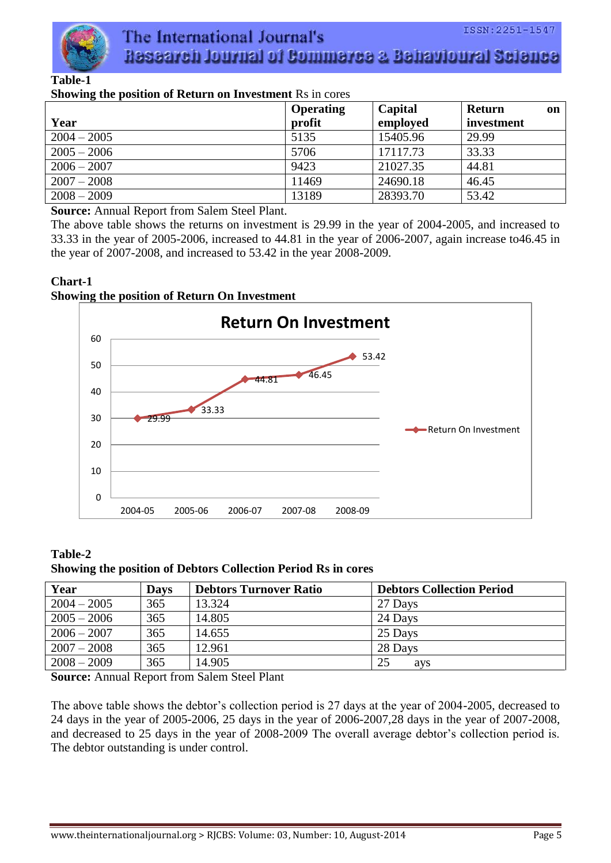

# **Table-1**

# **Showing the position of Return on Investment** Rs in cores

|               | <b>Operating</b> | Capital  | <b>Return</b><br><b>on</b> |
|---------------|------------------|----------|----------------------------|
| Year          | profit           | employed | investment                 |
| $2004 - 2005$ | 5135             | 15405.96 | 29.99                      |
| $2005 - 2006$ | 5706             | 17117.73 | 33.33                      |
| $2006 - 2007$ | 9423             | 21027.35 | 44.81                      |
| $2007 - 2008$ | 11469            | 24690.18 | 46.45                      |
| $2008 - 2009$ | 13189            | 28393.70 | 53.42                      |

**Source:** Annual Report from Salem Steel Plant.

The above table shows the returns on investment is 29.99 in the year of 2004-2005, and increased to 33.33 in the year of 2005-2006, increased to 44.81 in the year of 2006-2007, again increase to46.45 in the year of 2007-2008, and increased to 53.42 in the year 2008-2009.

#### **Chart-1 Showing the position of Return On Investment**



**Table-2 Showing the position of Debtors Collection Period Rs in cores**

| Year          | <b>Days</b> | <b>Debtors Turnover Ratio</b> | <b>Debtors Collection Period</b> |
|---------------|-------------|-------------------------------|----------------------------------|
| $2004 - 2005$ | 365         | 13.324                        | 27 Days                          |
| $2005 - 2006$ | 365         | 14.805                        | 24 Days                          |
| $2006 - 2007$ | 365         | 14.655                        | 25 Days                          |
| $2007 - 2008$ | 365         | 12.961                        | 28 Days                          |
| $2008 - 2009$ | 365         | 14.905                        | 25<br>ays                        |

**Source:** Annual Report from Salem Steel Plant

The above table shows the debtor's collection period is 27 days at the year of 2004-2005, decreased to 24 days in the year of 2005-2006, 25 days in the year of 2006-2007,28 days in the year of 2007-2008, and decreased to 25 days in the year of 2008-2009 The overall average debtor's collection period is. The debtor outstanding is under control.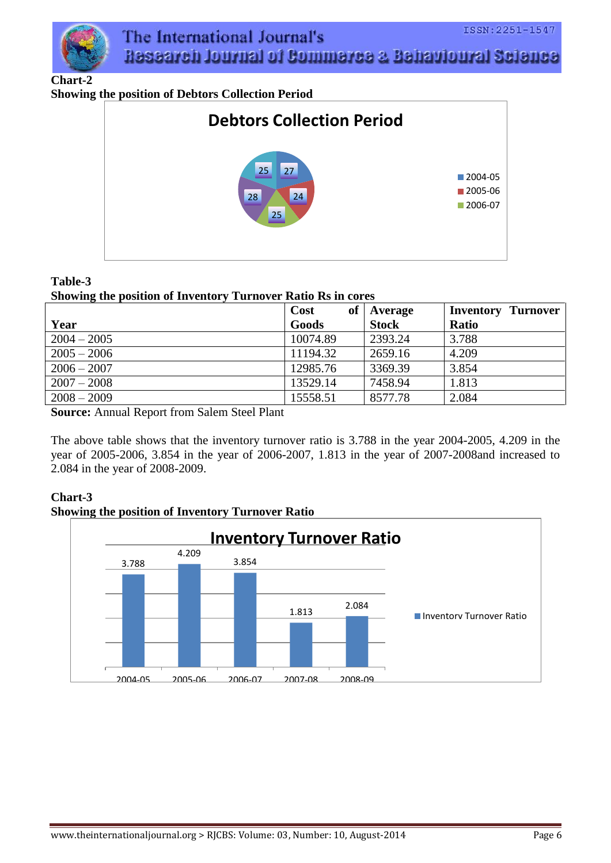

**Chart-2**

**Showing the position of Debtors Collection Period**



## **Table-3**

### **Showing the position of Inventory Turnover Ratio Rs in cores**

|               | Cost<br>of | Average      | <b>Inventory Turnover</b> |
|---------------|------------|--------------|---------------------------|
| Year          | Goods      | <b>Stock</b> | <b>Ratio</b>              |
| $2004 - 2005$ | 10074.89   | 2393.24      | 3.788                     |
| $2005 - 2006$ | 11194.32   | 2659.16      | 4.209                     |
| $2006 - 2007$ | 12985.76   | 3369.39      | 3.854                     |
| $2007 - 2008$ | 13529.14   | 7458.94      | 1.813                     |
| $2008 - 2009$ | 15558.51   | 8577.78      | 2.084                     |

**Source:** Annual Report from Salem Steel Plant

The above table shows that the inventory turnover ratio is 3.788 in the year 2004-2005, 4.209 in the year of 2005-2006, 3.854 in the year of 2006-2007, 1.813 in the year of 2007-2008and increased to 2.084 in the year of 2008-2009.

# **Chart-3**



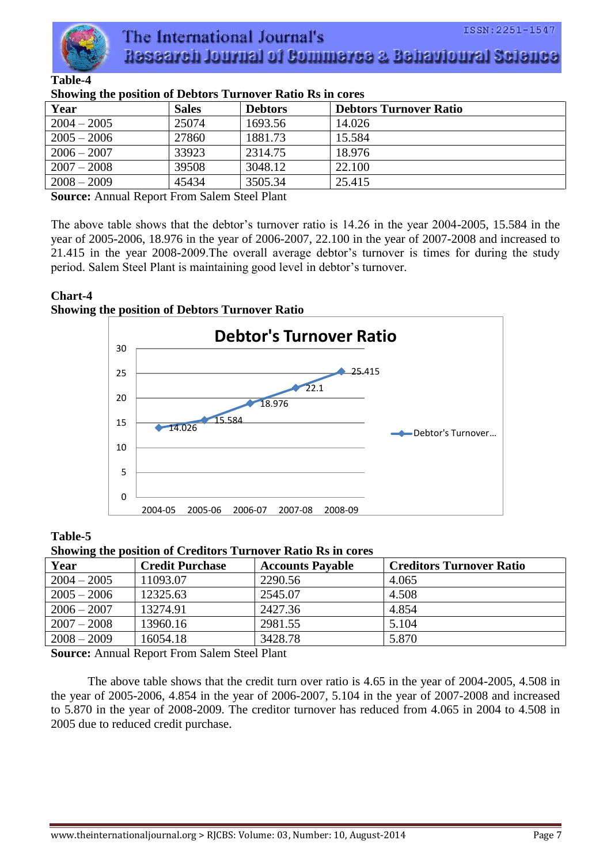

| Showing the position of Debtors Turnover Ratio Rs in cores |              |                |                               |
|------------------------------------------------------------|--------------|----------------|-------------------------------|
| Year                                                       | <b>Sales</b> | <b>Debtors</b> | <b>Debtors Turnover Ratio</b> |
| $2004 - 2005$                                              | 25074        | 1693.56        | 14.026                        |
| $2005 - 2006$                                              | 27860        | 1881.73        | 15.584                        |
| $2006 - 2007$                                              | 33923        | 2314.75        | 18.976                        |
| $2007 - 2008$                                              | 39508        | 3048.12        | 22.100                        |
| $2008 - 2009$                                              | 45434        | 3505.34        | 25.415                        |

**Showing the position of Debtors Turnover Ratio Rs in cores**

**Source:** Annual Report From Salem Steel Plant

The above table shows that the debtor's turnover ratio is 14.26 in the year 2004-2005, 15.584 in the year of 2005-2006, 18.976 in the year of 2006-2007, 22.100 in the year of 2007-2008 and increased to 21.415 in the year 2008-2009.The overall average debtor's turnover is times for during the study period. Salem Steel Plant is maintaining good level in debtor's turnover.

#### **Chart-4 Showing the position of Debtors Turnover Ratio**



**Table-5**

#### **Showing the position of Creditors Turnover Ratio Rs in cores**

| Year          | <b>Credit Purchase</b> | <b>Accounts Payable</b> | <b>Creditors Turnover Ratio</b> |
|---------------|------------------------|-------------------------|---------------------------------|
| $2004 - 2005$ | 11093.07               | 2290.56                 | 4.065                           |
| $2005 - 2006$ | 12325.63               | 2545.07                 | 4.508                           |
| $2006 - 2007$ | 13274.91               | 2427.36                 | 4.854                           |
| $2007 - 2008$ | 13960.16               | 2981.55                 | 5.104                           |
| $2008 - 2009$ | 16054.18               | 3428.78                 | 5.870                           |

**Source:** Annual Report From Salem Steel Plant

The above table shows that the credit turn over ratio is 4.65 in the year of 2004-2005, 4.508 in the year of 2005-2006, 4.854 in the year of 2006-2007, 5.104 in the year of 2007-2008 and increased to 5.870 in the year of 2008-2009. The creditor turnover has reduced from 4.065 in 2004 to 4.508 in 2005 due to reduced credit purchase.